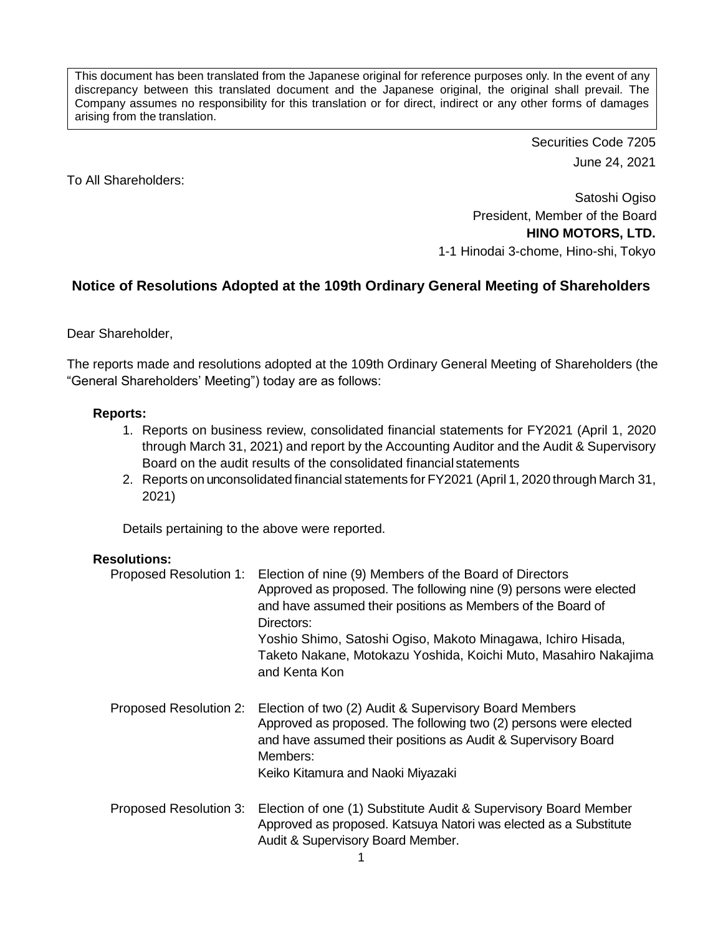This document has been translated from the Japanese original for reference purposes only. In the event of any discrepancy between this translated document and the Japanese original, the original shall prevail. The Company assumes no responsibility for this translation or for direct, indirect or any other forms of damages arising from the translation.

> Securities Code 7205 June 24, 2021

To All Shareholders:

Satoshi Ogiso President, Member of the Board **HINO MOTORS, LTD.** 1-1 Hinodai 3-chome, Hino-shi, Tokyo

## **Notice of Resolutions Adopted at the 109th Ordinary General Meeting of Shareholders**

Dear Shareholder,

The reports made and resolutions adopted at the 109th Ordinary General Meeting of Shareholders (the "General Shareholders' Meeting") today are as follows:

## **Reports:**

- 1. Reports on business review, consolidated financial statements for FY2021 (April 1, 2020 through March 31, 2021) and report by the Accounting Auditor and the Audit & Supervisory Board on the audit results of the consolidated financial statements
- 2. Reports on unconsolidated financial statements for FY2021 (April 1, 2020 through March 31, 2021)

Details pertaining to the above were reported.

## **Resolutions:**

| Proposed Resolution 1: | Election of nine (9) Members of the Board of Directors<br>Approved as proposed. The following nine (9) persons were elected<br>and have assumed their positions as Members of the Board of<br>Directors:<br>Yoshio Shimo, Satoshi Ogiso, Makoto Minagawa, Ichiro Hisada,<br>Taketo Nakane, Motokazu Yoshida, Koichi Muto, Masahiro Nakajima<br>and Kenta Kon |
|------------------------|--------------------------------------------------------------------------------------------------------------------------------------------------------------------------------------------------------------------------------------------------------------------------------------------------------------------------------------------------------------|
| Proposed Resolution 2: | Election of two (2) Audit & Supervisory Board Members<br>Approved as proposed. The following two (2) persons were elected<br>and have assumed their positions as Audit & Supervisory Board<br>Members:<br>Keiko Kitamura and Naoki Miyazaki                                                                                                                  |
| Proposed Resolution 3: | Election of one (1) Substitute Audit & Supervisory Board Member<br>Approved as proposed. Katsuya Natori was elected as a Substitute<br>Audit & Supervisory Board Member.                                                                                                                                                                                     |